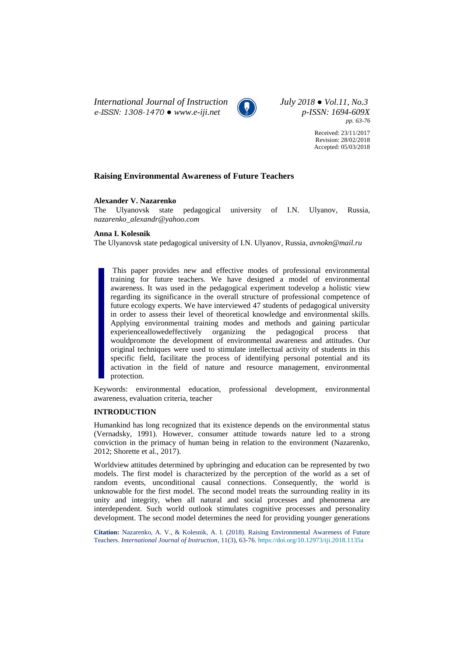*International Journal of Instruction July 2018 ● Vol.11, No.3 e-ISSN: 1308-1470 ● [www.e-iji.net](http://www.e-iji.net/) p-ISSN: 1694-609X*



*pp. 63-76*

Received: 23/11/2017 Revision: 28/02/2018 Accepted: 05/03/2018

## **Raising Environmental Awareness of Future Teachers**

### **Alexander V. Nazarenko**

The Ulyanovsk state pedagogical university of I.N. Ulyanov, Russia, *nazarenko\_alexandr@yahoo.com*

### **Anna I. Kolesnik**

The Ulyanovsk state pedagogical university of I.N. Ulyanov, Russia, *avnokn@mail.ru*

This paper provides new and effective modes of professional environmental training for future teachers. We have designed a model of environmental awareness. It was used in the pedagogical experiment todevelop a holistic view regarding its significance in the overall structure of professional competence of future ecology experts. We have interviewed 47 students of pedagogical university in order to assess their level of theoretical knowledge and environmental skills. Applying environmental training modes and methods and gaining particular experienceallowedeffectively organizing the pedagogical process that wouldpromote the development of environmental awareness and attitudes. Our original techniques were used to stimulate intellectual activity of students in this specific field, facilitate the process of identifying personal potential and its activation in the field of nature and resource management, environmental protection.

Keywords: environmental education, professional development, environmental awareness, evaluation criteria, teacher

### **INTRODUCTION**

Humankind has long recognized that its existence depends on the environmental status (Vernadsky, 1991). However, consumer attitude towards nature led to a strong conviction in the primacy of human being in relation to the environment (Nazarenko, 2012; Shorette et al., 2017).

Worldview attitudes determined by upbringing and education can be represented by two models. The first model is characterized by the perception of the world as a set of random events, unconditional causal connections. Consequently, the world is unknowable for the first model. The second model treats the surrounding reality in its unity and integrity, when all natural and social processes and phenomena are interdependent. Such world outlook stimulates cognitive processes and personality development. The second model determines the need for providing younger generations

**Citation:** Nazarenko, A. V., & Kolesnik, A. I. (2018). Raising Environmental Awareness of Future Teachers. *International Journal of Instruction*, 11(3), 63-76. <https://doi.org/10.12973/iji.2018.1135a>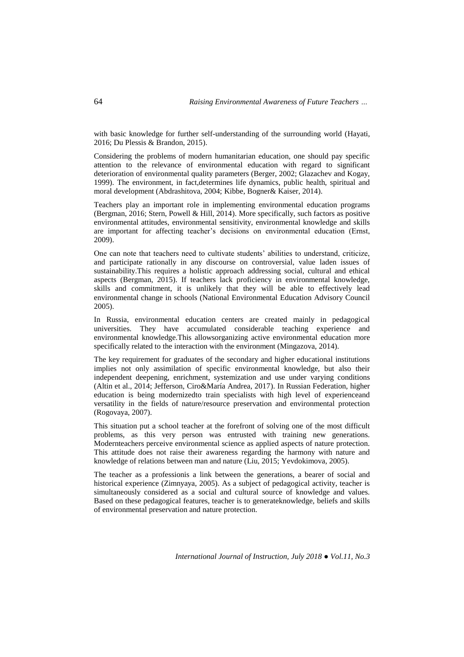with basic knowledge for further self-understanding of the surrounding world (Hayati, 2016; Du Plessis & Brandon, 2015).

Considering the problems of modern humanitarian education, one should pay specific attention to the relevance of environmental education with regard to significant deterioration of environmental quality parameters (Berger, 2002; Glazachev and Kogay, 1999). The environment, in fact,determines life dynamics, public health, spiritual and moral development (Abdrashitova, 2004; Kibbe, Bogner& Kaiser, 2014).

Teachers play an important role in implementing environmental education programs (Bergman, 2016; Stern, Powell & Hill, 2014). More specifically, such factors as positive environmental attitudes, environmental sensitivity, environmental knowledge and skills are important for affecting teacher's decisions on environmental education (Ernst, 2009).

One can note that teachers need to cultivate students' abilities to understand, criticize, and participate rationally in any discourse on controversial, value laden issues of sustainability.This requires a holistic approach addressing social, cultural and ethical aspects (Bergman, 2015). If teachers lack proficiency in environmental knowledge, skills and commitment, it is unlikely that they will be able to effectively lead environmental change in schools (National Environmental Education Advisory Council 2005).

In Russia, environmental education centers are created mainly in pedagogical universities. They have accumulated considerable teaching experience and environmental knowledge.This allowsorganizing active environmental education more specifically related to the interaction with the environment (Mingazova, 2014).

The key requirement for graduates of the secondary and higher educational institutions implies not only assimilation of specific environmental knowledge, but also their independent deepening, enrichment, systemization and use under varying conditions (Altin et al., 2014; Jefferson, Ciro&María Andrea, 2017). In Russian Federation, higher education is being modernizedto train specialists with high level of experienceand versatility in the fields of nature/resource preservation and environmental protection (Rogovaya, 2007).

This situation put a school teacher at the forefront of solving one of the most difficult problems, as this very person was entrusted with training new generations. Modernteachers perceive environmental science as applied aspects of nature protection. This attitude does not raise their awareness regarding the harmony with nature and knowledge of relations between man and nature (Liu, 2015; Yevdokimova, 2005).

The teacher as a professionis a link between the generations, a bearer of social and historical experience (Zimnyaya, 2005). As a subject of pedagogical activity, teacher is simultaneously considered as a social and cultural source of knowledge and values. Based on these pedagogical features, teacher is to generateknowledge, beliefs and skills of environmental preservation and nature protection.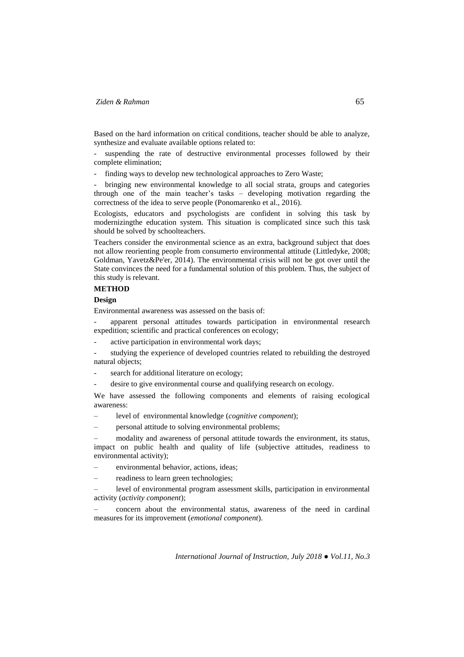Based on the hard information on critical conditions, teacher should be able to analyze, synthesize and evaluate available options related to:

suspending the rate of destructive environmental processes followed by their complete elimination;

finding ways to develop new technological approaches to Zero Waste;

- bringing new environmental knowledge to all social strata, groups and categories through one of the main teacher's tasks – developing motivation regarding the correctness of the idea to serve people (Ponomarenko et al., 2016).

Ecologists, educators and psychologists are confident in solving this task by modernizingthe education system. This situation is complicated since such this task should be solved by schoolteachers.

Teachers consider the environmental science as an extra, background subject that does not allow reorienting people from consumerto environmental attitude (Littledyke, 2008; Goldman, Yavetz&Pe'er, 2014). The environmental crisis will not be got over until the State convinces the need for a fundamental solution of this problem. Thus, the subject of this study is relevant.

### **METHOD**

### **Design**

Environmental awareness was assessed on the basis of:

- apparent personal attitudes towards participation in environmental research expedition; scientific and practical conferences on ecology;

active participation in environmental work days;

studying the experience of developed countries related to rebuilding the destroyed natural objects;

- search for additional literature on ecology;
- desire to give environmental course and qualifying research on ecology.

We have assessed the following components and elements of raising ecological awareness:

- ‒ level of environmental knowledge (*cognitive component*);
- ‒ personal attitude to solving environmental problems;

‒ modality and awareness of personal attitude towards the environment, its status, impact on public health and quality of life (subjective attitudes, readiness to environmental activity);

- ‒ environmental behavior, actions, ideas;
- ‒ readiness to learn green technologies;

‒ level of environmental program assessment skills, participation in environmental activity (*activity component*);

‒ concern about the environmental status, awareness of the need in cardinal measures for its improvement (*emotional component*).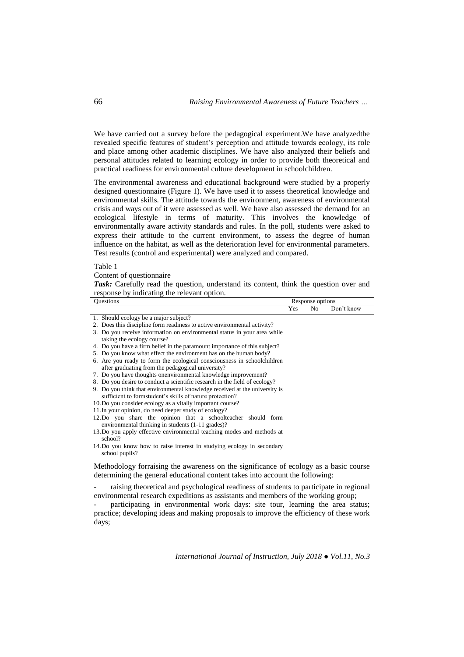We have carried out a survey before the pedagogical experiment. We have analyzed the revealed specific features of student's perception and attitude towards ecology, its role and place among other academic disciplines. We have also analyzed their beliefs and personal attitudes related to learning ecology in order to provide both theoretical and practical readiness for environmental culture development in schoolchildren.

The environmental awareness and educational background were studied by a properly designed questionnaire (Figure 1). We have used it to assess theoretical knowledge and environmental skills. The attitude towards the environment, awareness of environmental crisis and ways out of it were assessed as well. We have also assessed the demand for an ecological lifestyle in terms of maturity. This involves the knowledge of environmentally aware activity standards and rules. In the poll, students were asked to express their attitude to the current environment, to assess the degree of human influence on the habitat, as well as the deterioration level for environmental parameters. Test results (control and experimental) were analyzed and compared.

Table 1

Content of questionnaire

Task: Carefully read the question, understand its content, think the question over and response by indicating the relevant option.

| <b>Questions</b>                                                           | Response options |     |            |
|----------------------------------------------------------------------------|------------------|-----|------------|
|                                                                            | Yes              | No. | Don't know |
| 1. Should ecology be a major subject?                                      |                  |     |            |
| 2. Does this discipline form readiness to active environmental activity?   |                  |     |            |
| 3. Do you receive information on environmental status in your area while   |                  |     |            |
| taking the ecology course?                                                 |                  |     |            |
| 4. Do you have a firm belief in the paramount importance of this subject?  |                  |     |            |
| 5. Do you know what effect the environment has on the human body?          |                  |     |            |
| 6. Are you ready to form the ecological consciousness in schoolchildren    |                  |     |            |
| after graduating from the pedagogical university?                          |                  |     |            |
| 7. Do you have thoughts onenvironmental knowledge improvement?             |                  |     |            |
| 8. Do you desire to conduct a scientific research in the field of ecology? |                  |     |            |
| 9. Do you think that environmental knowledge received at the university is |                  |     |            |
| sufficient to formstudent's skills of nature protection?                   |                  |     |            |
| 10. Do you consider ecology as a vitally important course?                 |                  |     |            |
| 11. In your opinion, do need deeper study of ecology?                      |                  |     |            |
| 12. Do you share the opinion that a schoolteacher should form              |                  |     |            |
| environmental thinking in students (1-11 grades)?                          |                  |     |            |
| 13. Do you apply effective environmental teaching modes and methods at     |                  |     |            |
| school?                                                                    |                  |     |            |
| 14. Do you know how to raise interest in studying ecology in secondary     |                  |     |            |
| school pupils?                                                             |                  |     |            |

Methodology forraising the awareness on the significance of ecology as a basic course determining the general educational content takes into account the following:

raising theoretical and psychological readiness of students to participate in regional environmental research expeditions as assistants and members of the working group;

participating in environmental work days: site tour, learning the area status; practice; developing ideas and making proposals to improve the efficiency of these work days;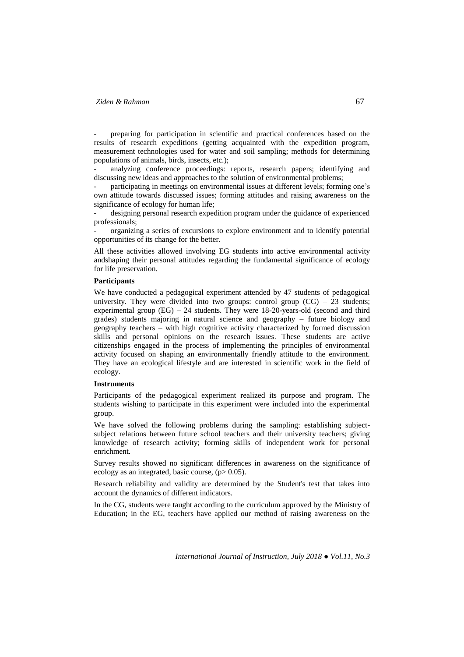- preparing for participation in scientific and practical conferences based on the results of research expeditions (getting acquainted with the expedition program, measurement technologies used for water and soil sampling; methods for determining populations of animals, birds, insects, etc.);

analyzing conference proceedings: reports, research papers; identifying and discussing new ideas and approaches to the solution of environmental problems;

participating in meetings on environmental issues at different levels; forming one's own attitude towards discussed issues; forming attitudes and raising awareness on the significance of ecology for human life;

- designing personal research expedition program under the guidance of experienced professionals;

- organizing a series of excursions to explore environment and to identify potential opportunities of its change for the better.

All these activities allowed involving EG students into active environmental activity andshaping their personal attitudes regarding the fundamental significance of ecology for life preservation.

#### **Participants**

We have conducted a pedagogical experiment attended by 47 students of pedagogical university. They were divided into two groups: control group  $(CG) - 23$  students; experimental group (EG) – 24 students. They were 18-20-years-old (second and third grades) students majoring in natural science and geography – future biology and geography teachers – with high cognitive activity characterized by formed discussion skills and personal opinions on the research issues. These students are active citizenships engaged in the process of implementing the principles of environmental activity focused on shaping an environmentally friendly attitude to the environment. They have an ecological lifestyle and are interested in scientific work in the field of ecology.

## **Instruments**

Participants of the pedagogical experiment realized its purpose and program. The students wishing to participate in this experiment were included into the experimental group.

We have solved the following problems during the sampling: establishing subjectsubject relations between future school teachers and their university teachers; giving knowledge of research activity; forming skills of independent work for personal enrichment.

Survey results showed no significant differences in awareness on the significance of ecology as an integrated, basic course,  $(p > 0.05)$ .

Research reliability and validity are determined by the Student's test that takes into account the dynamics of different indicators.

In the CG, students were taught according to the curriculum approved by the Ministry of Education; in the EG, teachers have applied our method of raising awareness on the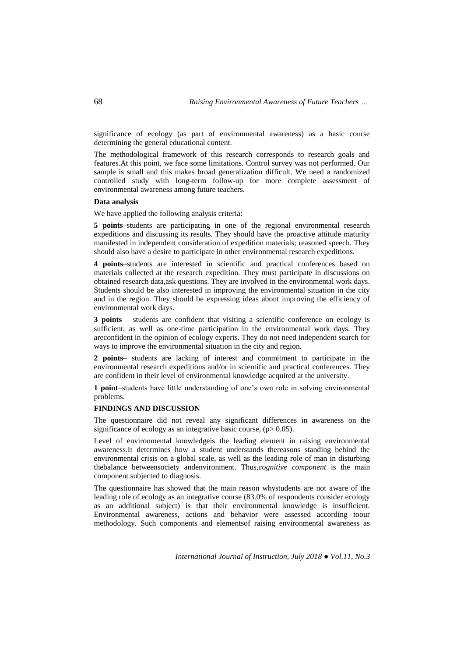significance of ecology (as part of environmental awareness) as a basic course determining the general educational content.

The methodological framework of this research corresponds to research goals and features.At this point, we face some limitations. Control survey was not performed. Our sample is small and this makes broad generalization difficult. We need a randomized controlled study with long-term follow-up for more complete assessment of environmental awareness among future teachers.

#### **Data analysis**

We have applied the following analysis criteria:

**5 points**–students are participating in one of the regional environmental research expeditions and discussing its results. They should have the proactive attitude maturity manifested in independent consideration of expedition materials; reasoned speech. They should also have a desire to participate in other environmental research expeditions.

**4 points**–students are interested in scientific and practical conferences based on materials collected at the research expedition. They must participate in discussions on obtained research data,ask questions. They are involved in the environmental work days. Students should be also interested in improving the environmental situation in the city and in the region. They should be expressing ideas about improving the efficiency of environmental work days.

**3 points** – students are confident that visiting a scientific conference on ecology is sufficient, as well as one-time participation in the environmental work days. They areconfident in the opinion of ecology experts. They do not need independent search for ways to improve the environmental situation in the city and region.

**2 points**– students are lacking of interest and commitment to participate in the environmental research expeditions and/or in scientific and practical conferences. They are confident in their level of environmental knowledge acquired at the university.

**1 point**–students have little understanding of one's own role in solving environmental problems.

## **FINDINGS AND DISCUSSION**

The questionnaire did not reveal any significant differences in awareness on the significance of ecology as an integrative basic course,  $(p > 0.05)$ .

Level of environmental knowledgeis the leading element in raising environmental awareness.It determines how a student understands thereasons standing behind the environmental crisis on a global scale, as well as the leading role of man in disturbing thebalance betweensociety andenvironment. Thus,*cognitive component* is the main component subjected to diagnosis.

The questionnaire has showed that the main reason whystudents are not aware of the leading role of ecology as an integrative course (83.0% of respondents consider ecology as an additional subject) is that their environmental knowledge is insufficient. Environmental awareness, actions and behavior were assessed according toour methodology. Such components and elementsof raising environmental awareness as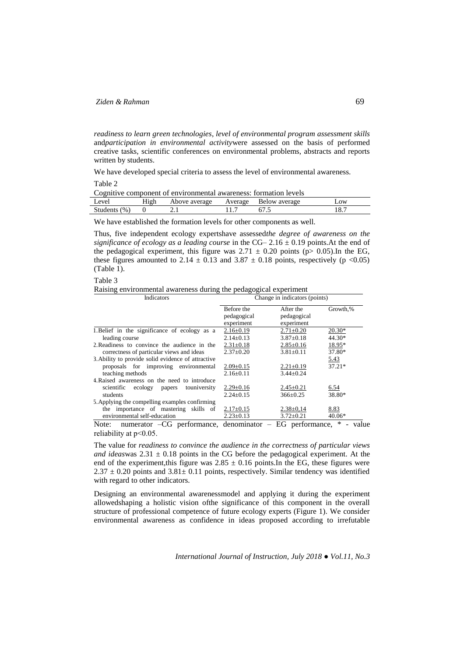*readiness to learn green technologies*, *level of environmental program assessment skills* and*participation in environmental activity*were assessed on the basis of performed creative tasks, scientific conferences on environmental problems, abstracts and reports written by students.

We have developed special criteria to assess the level of environmental awareness.

Table 2

Cognitive component of environmental awareness: formation levels

| eve              | ---<br>H1gh | ™aoe<br>. .                       | verage<br>А | average<br> | _OW   |
|------------------|-------------|-----------------------------------|-------------|-------------|-------|
| $\frac{1}{96}$ . |             | the control of the control of the |             |             | 10. I |

We have established the formation levels for other components as well.

Thus, five independent ecology expertshave assessed*the degree of awareness on the significance of ecology as a leading course* in the CG– 2.16 ± 0.19 points.At the end of the pedagogical experiment, this figure was  $2.71 \pm 0.20$  points (p> 0.05).In the EG, these figures amounted to 2.14  $\pm$  0.13 and 3.87  $\pm$  0.18 points, respectively (p <0.05) (Table 1).

#### Table 3

Raising environmental awareness during the pedagogical experiment

| Indicators                                                                                                                                                                                                                                                                                                                                | Change in indicators (points)                                                                                  |                                   |          |  |
|-------------------------------------------------------------------------------------------------------------------------------------------------------------------------------------------------------------------------------------------------------------------------------------------------------------------------------------------|----------------------------------------------------------------------------------------------------------------|-----------------------------------|----------|--|
|                                                                                                                                                                                                                                                                                                                                           | Before the                                                                                                     | After the                         | Growth,% |  |
|                                                                                                                                                                                                                                                                                                                                           | pedagogical                                                                                                    | pedagogical                       |          |  |
|                                                                                                                                                                                                                                                                                                                                           | experiment                                                                                                     | experiment                        |          |  |
| 1. Belief in the significance of ecology as a                                                                                                                                                                                                                                                                                             | $2.16 \pm 0.19$                                                                                                | $2.71 \pm 0.20$                   | $20.30*$ |  |
| leading course                                                                                                                                                                                                                                                                                                                            | $2.14 \pm 0.13$                                                                                                | $3.87 \pm 0.18$                   | 44.30*   |  |
| 2. Readiness to convince the audience in the                                                                                                                                                                                                                                                                                              | $2.31 \pm 0.18$                                                                                                | $2.85 \pm 0.16$                   | 18.95*   |  |
| correctness of particular views and ideas                                                                                                                                                                                                                                                                                                 | $2.37 \pm 0.20$                                                                                                | $3.81 \pm 0.11$                   | 37.80*   |  |
| 3. Ability to provide solid evidence of attractive                                                                                                                                                                                                                                                                                        |                                                                                                                |                                   | 5.43     |  |
| proposals for improving environmental                                                                                                                                                                                                                                                                                                     | $2.09 \pm 0.15$                                                                                                | $2.21 \pm 0.19$                   | $37.21*$ |  |
| teaching methods                                                                                                                                                                                                                                                                                                                          | $2.16 \pm 0.11$                                                                                                | $3.44 \pm 0.24$                   |          |  |
| 4. Raised awareness on the need to introduce                                                                                                                                                                                                                                                                                              |                                                                                                                |                                   |          |  |
| touniversity<br>scientific<br>ecology papers                                                                                                                                                                                                                                                                                              | $2.29 \pm 0.16$                                                                                                | $2.45 \pm 0.21$                   | 6.54     |  |
| students                                                                                                                                                                                                                                                                                                                                  | $2.24 \pm 0.15$                                                                                                | $366 \pm 0.25$                    | 38.80*   |  |
| 5. Applying the compelling examples confirming                                                                                                                                                                                                                                                                                            |                                                                                                                |                                   |          |  |
| the importance of mastering skills of                                                                                                                                                                                                                                                                                                     | $2.17 \pm 0.15$                                                                                                | $2.38 \pm 0.14$                   | 8.83     |  |
| environmental self-education                                                                                                                                                                                                                                                                                                              | $2.23+0.13$                                                                                                    | $3.72 \pm 0.21$                   | $40.06*$ |  |
| $\mathbf{M}$ , $\mathbf{M}$ , $\mathbf{M}$ , $\mathbf{M}$ , $\mathbf{M}$ , $\mathbf{M}$ , $\mathbf{M}$ , $\mathbf{M}$ , $\mathbf{M}$ , $\mathbf{M}$ , $\mathbf{M}$ , $\mathbf{M}$ , $\mathbf{M}$ , $\mathbf{M}$ , $\mathbf{M}$ , $\mathbf{M}$ , $\mathbf{M}$ , $\mathbf{M}$ , $\mathbf{M}$ , $\mathbf{M}$ , $\mathbf{M}$ , $\mathbf{M}$ , | The contract of the state of the state of the state of the state of the state of the state of the state of the | $\Gamma$ $\cap$ $\ldots$ $\Gamma$ | ÷        |  |

Note: numerator –CG performance, denominator – EG performance, \* - value reliability at p<0.05.

The value for *readiness to convince the audience in the correctness of particular views and ideaswas*  $2.31 \pm 0.18$  points in the CG before the pedagogical experiment. At the end of the experiment, this figure was  $2.85 \pm 0.16$  points. In the EG, these figures were  $2.37 \pm 0.20$  points and  $3.81 \pm 0.11$  points, respectively. Similar tendency was identified with regard to other indicators.

Designing an environmental awarenessmodel and applying it during the experiment allowedshaping a holistic vision ofthe significance of this component in the overall structure of professional competence of future ecology experts (Figure 1). We consider environmental awareness as confidence in ideas proposed according to irrefutable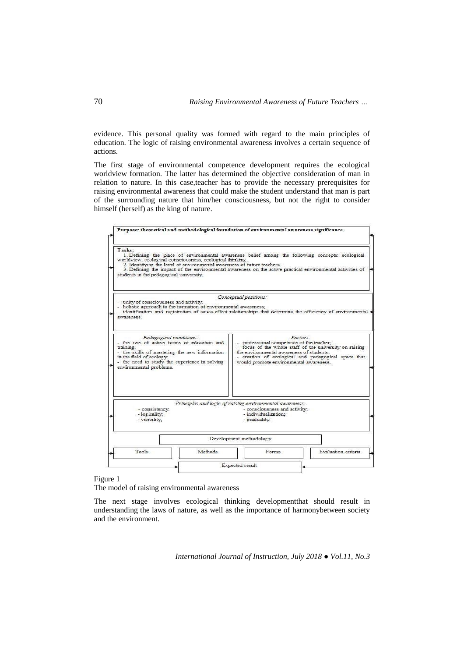evidence. This personal quality was formed with regard to the main principles of education. The logic of raising environmental awareness involves a certain sequence of actions.

The first stage of environmental competence development requires the ecological worldview formation. The latter has determined the objective consideration of man in relation to nature. In this case,teacher has to provide the necessary prerequisites for raising environmental awareness that could make the student understand that man is part of the surrounding nature that him/her consciousness, but not the right to consider himself (herself) as the king of nature.



Figure 1

The model of raising environmental awareness

The next stage involves ecological thinking developmentthat should result in understanding the laws of nature, as well as the importance of harmonybetween society and the environment.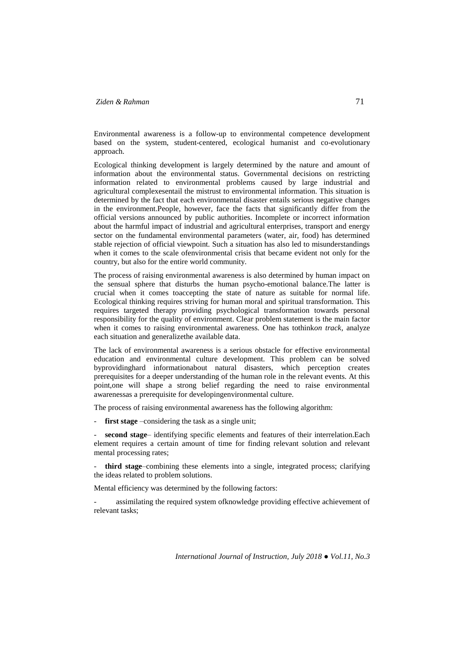Environmental awareness is a follow-up to environmental competence development based on the system, student-centered, ecological humanist and co-evolutionary approach.

Ecological thinking development is largely determined by the nature and amount of information about the environmental status. Governmental decisions on restricting information related to environmental problems caused by large industrial and agricultural complexesentail the mistrust to environmental information. This situation is determined by the fact that each environmental disaster entails serious negative changes in the environment.People, however, face the facts that significantly differ from the official versions announced by public authorities. Incomplete or incorrect information about the harmful impact of industrial and agricultural enterprises, transport and energy sector on the fundamental environmental parameters (water, air, food) has determined stable rejection of official viewpoint. Such a situation has also led to misunderstandings when it comes to the scale ofenvironmental crisis that became evident not only for the country, but also for the entire world community.

The process of raising environmental awareness is also determined by human impact on the sensual sphere that disturbs the human psycho-emotional balance.The latter is crucial when it comes toaccepting the state of nature as suitable for normal life. Ecological thinking requires striving for human moral and spiritual transformation. This requires targeted therapy providing psychological transformation towards personal responsibility for the quality of environment. Clear problem statement is the main factor when it comes to raising environmental awareness. One has tothink*on track*, analyze each situation and generalizethe available data.

The lack of environmental awareness is a serious obstacle for effective environmental education and environmental culture development. This problem can be solved byprovidinghard informationabout natural disasters, which perception creates prerequisites for a deeper understanding of the human role in the relevant events. At this point,one will shape a strong belief regarding the need to raise environmental awarenessas a prerequisite for developingenvironmental culture.

The process of raising environmental awareness has the following algorithm:

- **first stage** –considering the task as a single unit;

second stage– identifying specific elements and features of their interrelation.Each element requires a certain amount of time for finding relevant solution and relevant mental processing rates;

- **third stage**–combining these elements into a single, integrated process; clarifying the ideas related to problem solutions.

Mental efficiency was determined by the following factors:

assimilating the required system of knowledge providing effective achievement of relevant tasks;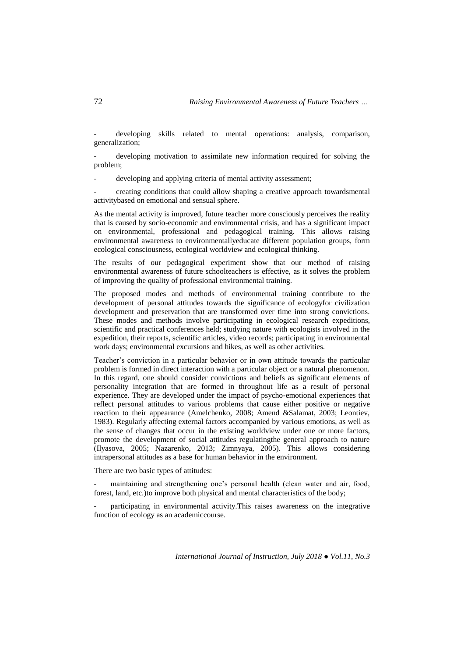developing skills related to mental operations: analysis, comparison, generalization;

developing motivation to assimilate new information required for solving the problem;

developing and applying criteria of mental activity assessment;

- creating conditions that could allow shaping a creative approach towardsmental activitybased on emotional and sensual sphere.

As the mental activity is improved, future teacher more consciously perceives the reality that is caused by socio-economic and environmental crisis, and has a significant impact on environmental, professional and pedagogical training. This allows raising environmental awareness to environmentallyeducate different population groups, form ecological consciousness, ecological worldview and ecological thinking.

The results of our pedagogical experiment show that our method of raising environmental awareness of future schoolteachers is effective, as it solves the problem of improving the quality of professional environmental training.

The proposed modes and methods of environmental training contribute to the development of personal attitudes towards the significance of ecologyfor civilization development and preservation that are transformed over time into strong convictions. These modes and methods involve participating in ecological research expeditions, scientific and practical conferences held; studying nature with ecologists involved in the expedition, their reports, scientific articles, video records; participating in environmental work days; environmental excursions and hikes, as well as other activities.

Teacher's conviction in a particular behavior or in own attitude towards the particular problem is formed in direct interaction with a particular object or a natural phenomenon. In this regard, one should consider convictions and beliefs as significant elements of personality integration that are formed in throughout life as a result of personal experience. They are developed under the impact of psycho-emotional experiences that reflect personal attitudes to various problems that cause either positive or negative reaction to their appearance (Amelchenko, 2008; Amend &Salamat, 2003; Leontiev, 1983). Regularly affecting external factors accompanied by various emotions, as well as the sense of changes that occur in the existing worldview under one or more factors, promote the development of social attitudes regulatingthe general approach to nature (Ilyasova, 2005; Nazarenko, 2013; Zimnyaya, 2005). This allows considering intrapersonal attitudes as a base for human behavior in the environment.

There are two basic types of attitudes:

maintaining and strengthening one's personal health (clean water and air, food, forest, land, etc.)to improve both physical and mental characteristics of the body;

participating in environmental activity. This raises awareness on the integrative function of ecology as an academiccourse.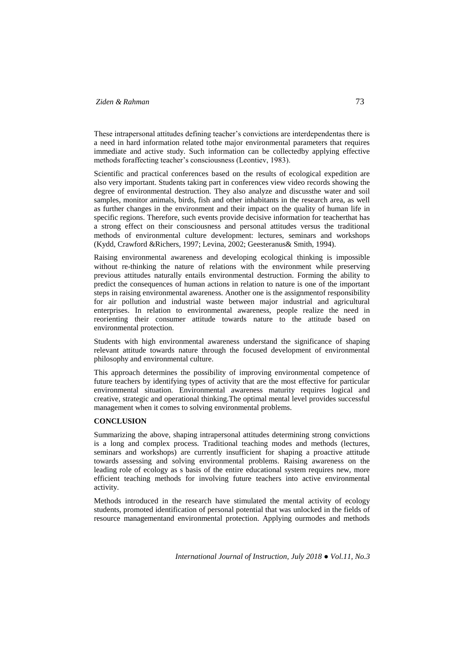These intrapersonal attitudes defining teacher's convictions are interdependentas there is a need in hard information related tothe major environmental parameters that requires immediate and active study. Such information can be collectedby applying effective methods foraffecting teacher's consciousness (Leontiev, 1983).

Scientific and practical conferences based on the results of ecological expedition are also very important. Students taking part in conferences view video records showing the degree of environmental destruction. They also analyze and discussthe water and soil samples, monitor animals, birds, fish and other inhabitants in the research area, as well as further changes in the environment and their impact on the quality of human life in specific regions. Therefore, such events provide decisive information for teacherthat has a strong effect on their consciousness and personal attitudes versus the traditional methods of environmental culture development: lectures, seminars and workshops (Kydd, Crawford &Richers, 1997; Levina, 2002; Geesteranus& Smith, 1994).

Raising environmental awareness and developing ecological thinking is impossible without re-thinking the nature of relations with the environment while preserving previous attitudes naturally entails environmental destruction. Forming the ability to predict the consequences of human actions in relation to nature is one of the important steps in raising environmental awareness. Another one is the assignmentof responsibility for air pollution and industrial waste between major industrial and agricultural enterprises. In relation to environmental awareness, people realize the need in reorienting their consumer attitude towards nature to the attitude based on environmental protection.

Students with high environmental awareness understand the significance of shaping relevant attitude towards nature through the focused development of environmental philosophy and environmental culture.

This approach determines the possibility of improving environmental competence of future teachers by identifying types of activity that are the most effective for particular environmental situation. Environmental awareness maturity requires logical and creative, strategic and operational thinking.The optimal mental level provides successful management when it comes to solving environmental problems.

### **CONCLUSION**

Summarizing the above, shaping intrapersonal attitudes determining strong convictions is a long and complex process. Traditional teaching modes and methods (lectures, seminars and workshops) are currently insufficient for shaping a proactive attitude towards assessing and solving environmental problems. Raising awareness on the leading role of ecology as s basis of the entire educational system requires new, more efficient teaching methods for involving future teachers into active environmental activity.

Methods introduced in the research have stimulated the mental activity of ecology students, promoted identification of personal potential that was unlocked in the fields of resource managementand environmental protection. Applying ourmodes and methods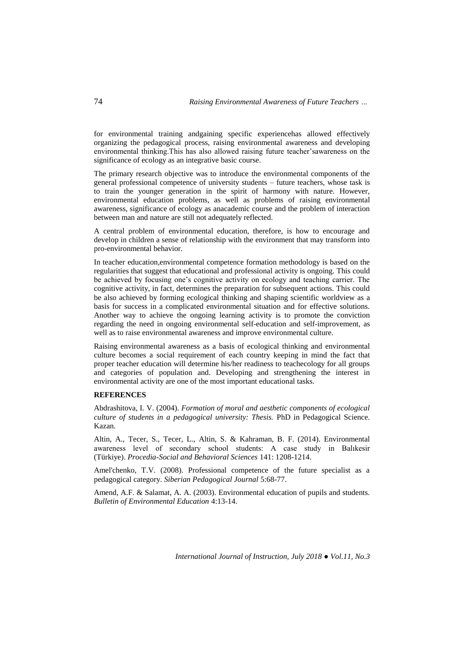for environmental training andgaining specific experiencehas allowed effectively organizing the pedagogical process, raising environmental awareness and developing environmental thinking.This has also allowed raising future teacher'sawareness on the significance of ecology as an integrative basic course.

The primary research objective was to introduce the environmental components of the general professional competence of university students – future teachers, whose task is to train the younger generation in the spirit of harmony with nature. However, environmental education problems, as well as problems of raising environmental awareness, significance of ecology as anacademic course and the problem of interaction between man and nature are still not adequately reflected.

A central problem of environmental education, therefore, is how to encourage and develop in children a sense of relationship with the environment that may transform into pro-environmental behavior.

In teacher education,environmental competence formation methodology is based on the regularities that suggest that educational and professional activity is ongoing. This could be achieved by focusing one's cognitive activity on ecology and teaching carrier. The cognitive activity, in fact, determines the preparation for subsequent actions. This could be also achieved by forming ecological thinking and shaping scientific worldview as a basis for success in a complicated environmental situation and for effective solutions. Another way to achieve the ongoing learning activity is to promote the conviction regarding the need in ongoing environmental self-education and self-improvement, as well as to raise environmental awareness and improve environmental culture.

Raising environmental awareness as a basis of ecological thinking and environmental culture becomes a social requirement of each country keeping in mind the fact that proper teacher education will determine his/her readiness to teachecology for all groups and categories of population and. Developing and strengthening the interest in environmental activity are one of the most important educational tasks.

#### **REFERENCES**

Abdrashitova, I. V. (2004). *Formation of moral and aesthetic components of ecological culture of students in a pedagogical university: Thesis.* PhD in Pedagogical Science. Kazan.

Altin, A., Tecer, S., Tecer, L., Altin, S. & Kahraman, B. F. (2014). Environmental awareness level of secondary school students: A case study in Balıkesir (Türkiye). *Procedia-Social and Behavioral Sciences* 141: 1208-1214.

Amel'chenko, T.V. (2008). Professional competence of the future specialist as a pedagogical category. *Siberian Pedagogical Journal* 5:68-77.

Amend, A.F. & Salamat, A. A. (2003). Environmental education of pupils and students. *Bulletin of Environmental Education* 4:13-14.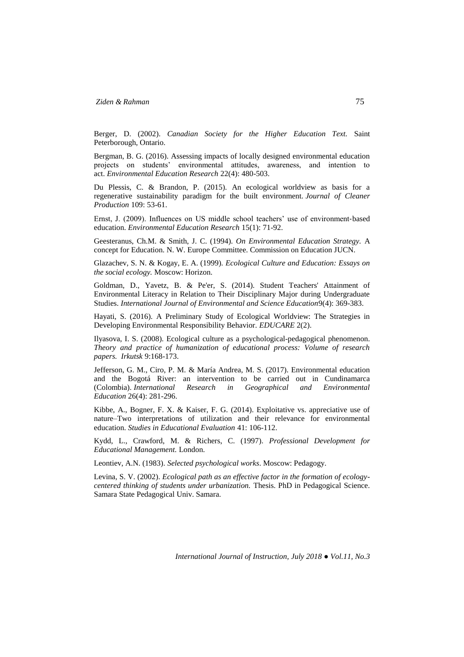Berger, D. (2002). *Canadian Society for the Higher Education Text.* Saint Peterborough, Ontario.

Bergman, B. G. (2016). Assessing impacts of locally designed environmental education projects on students' environmental attitudes, awareness, and intention to act. *Environmental Education Research* 22(4): 480-503.

Du Plessis, C. & Brandon, P. (2015). An ecological worldview as basis for a regenerative sustainability paradigm for the built environment. *Journal of Cleaner Production* 109: 53-61.

Ernst, J. (2009). Influences on US middle school teachers' use of environment‐based education. *Environmental Education Research* 15(1): 71-92.

Geesteranus, Ch.M. & Smith, J. C. (1994). *On Environmental Education Strategy.* A concept for Education. N. W. Europe Committee. Commission on Education JUCN.

Glazachev, S. N. & Kogay, E. A. (1999). *Ecological Culture and Education: Essays on the social ecology.* Moscow: Horizon.

Goldman, D., Yavetz, B. & Pe'er, S. (2014). Student Teachers' Attainment of Environmental Literacy in Relation to Their Disciplinary Major during Undergraduate Studies. *International Journal of Environmental and Science Education*9(4): 369-383.

Hayati, S. (2016). A Preliminary Study of Ecological Worldview: The Strategies in Developing Environmental Responsibility Behavior. *EDUCARE* 2(2).

Ilyasova, I. S. (2008). Ecological culture as a psychological-pedagogical phenomenon. *Theory and practice of humanization of educational process: Volume of research papers. Irkutsk* 9:168-173.

Jefferson, G. M., Ciro, P. M. & María Andrea, M. S. (2017). Environmental education and the Bogotá River: an intervention to be carried out in Cundinamarca (Colombia). International Research in Geographical and Environmental (Colombia). *International Research in Geographical and Education* 26(4): 281-296.

Kibbe, A., Bogner, F. X. & Kaiser, F. G. (2014). Exploitative vs. appreciative use of nature–Two interpretations of utilization and their relevance for environmental education. *Studies in Educational Evaluation* 41: 106-112.

Kydd, L., Crawford, M. & Richers, C. (1997). *Professional Development for Educational Management.* London.

Leontiev, A.N. (1983). *Selected psychological works*. Moscow: Pedagogy.

Levina, S. V. (2002). *Ecological path as an effective factor in the formation of ecologycentered thinking of students under urbanization.* Thesis. PhD in Pedagogical Science. Samara State Pedagogical Univ. Samara.